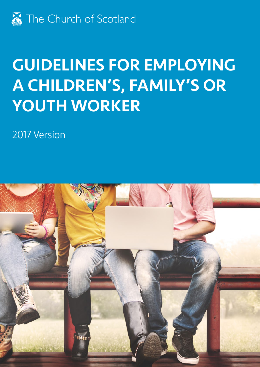

# GUIDELINES FOR EMPLOYING A CHILDREN'S, FAMILY'S OR YOUTH WORKER

2017 Version

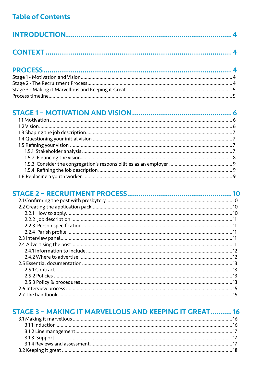# **Table of Contents**

# 

|  | 10 |
|--|----|
|  |    |
|  |    |
|  |    |
|  |    |
|  |    |
|  |    |
|  |    |
|  |    |
|  |    |
|  |    |
|  |    |
|  |    |
|  |    |
|  |    |
|  |    |
|  | 15 |
|  |    |

#### **STAGE 3 - MAKING IT MARVELLOUS AND KEEPING IT GREAT.......... 16**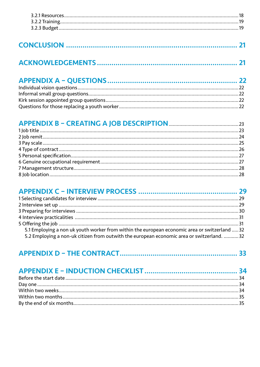|--|--|

|--|

# 

| 5.1 Employing a non uk youth worker from within the european economic area or switzerland  32 |  |
|-----------------------------------------------------------------------------------------------|--|
| 5.2 Employing a non-uk citizen from outwith the european economic area or switzerland.  32    |  |

|--|--|--|--|--|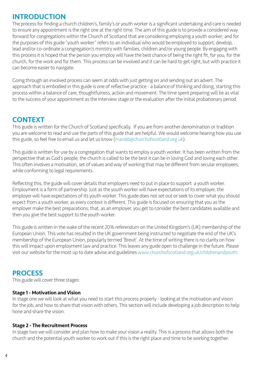# <span id="page-3-0"></span>INTRODUCTION

The process for finding a church children's, family's or youth worker is a significant undertaking and care is needed to ensure any appointment is the right one at the right time. The aim of this guide is to provide a considered way forward for congregations within the Church of Scotland that are considering employing a youth worker; and for the purposes of this guide "youth worker" refers to an individual who would be employed to support, develop, lead and/or co-ordinate a congregation's ministry with families, children and/or young people. By engaging with this process it is hoped that the person you employ will have the best chance of being the right fit, for you, for the church, for the work and for them. This process can be involved and it can be hard to get right, but with practice it can become easier to navigate.

Going through an involved process can seem at odds with just getting on and sending out an advert. The approach that is embodied in this guide is one of reflective practice - a balance of thinking and doing, starting this process within a balance of care, thoughtfulness, action and movement. The time spent preparing will be as vital to the success of your appointment as the interview stage or the evaluation after the initial probationary period.

# CONTEXT

This guide is written for the Church of Scotland specifically. If you are from another denomination or tradition you are welcome to read and use the parts of this guide that are helpful. We would welcome hearing how you use this guide, so feel free to email us and let us know ([mandd@churchofscotland.org.uk](mailto:MANDD@CHURCHOFSCOTLAND.ORG.UK)).

This guide is written for use by a congregation that wants to employ a youth worker. It has been written from the perspective that as God's people, the church is called to be the best it can be in loving God and loving each other. This often involves a motivation, set of values and way of working that may be different from secular employees, while conforming to legal requirements.

Reflecting this, the guide will cover details that employers need to put in place to support a youth worker. Employment is a form of partnership. Just as the youth worker will have expectations of its employer, the employer will have expectations of its youth worker. This guide does not set out or seek to cover what you should expect from a youth worker, as every context is different. This guide is focused on ensuring that you as the employer make the best preparations; that, as an employer, you get to consider the best candidates available and then you give the best support to the youth worker.

This guide is written in the wake of the recent 2016 referendum on the United Kingdom's (UK) membership of the European Union. This vote has resulted in the UK government being instructed to negotiate the end of the UK's membership of the European Union, popularly termed 'Brexit'. At the time of writing there is no clarity on how this will impact upon employment law and practice. This leaves any guide open to challenge in the future. Please visit our website for the most up to date advise and guidelines [www.churchofscotland.org.uk/childrenandyouth.](http://www.churchofscotland.org.uk/childrenandyouth)

# **PROCESS**

This guide will cover three stages:

#### Stage 1 - Motivation and Vision

In stage one we will look at what you need to start this process properly - looking at the motivation and vision for the job, and how to share that vision with others. This section will include developing a job description to help hone and share the vision.

#### Stage 2 - The Recruitment Process

In stage two we will consider and plan how to make your vision a reality. This is a process that allows both the church and the potential youth worker to work out if this is the right place and time to be working together.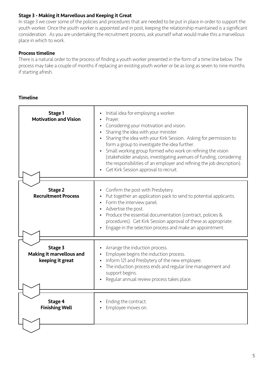## Stage 3 - Making it Marvellous and Keeping it Great

In stage 3 we cover some of the policies and procedures that are needed to be put in place in order to support the youth worker. Once the youth worker is appointed and in post, keeping the relationship maintained is a significant consideration. As you are undertaking the recruitment process, ask yourself what would make this a marvellous place in which to work.

### Process timeline

There is a natural order to the process of finding a youth worker presented in the form of a time line below. The process may take a couple of months if replacing an existing youth worker or be as long as seven to nine months if starting afresh.

### Timeline

| <b>Stage 1</b><br><b>Motivation and Vision</b>          | Initial idea for employing a worker.<br>Prayer.<br>• Considering your motivation and vision.<br>Sharing the idea with your minister.<br>$\bullet$<br>Sharing the idea with your Kirk Session. Asking for permission to<br>form a group to investigate the idea further.<br>Small working group formed who work on refining the vision<br>(stakeholder analysis, investigating avenues of funding, considering<br>the responsibilities of an employer and refining the job description).<br>Get Kirk Session approval to recruit. |
|---------------------------------------------------------|----------------------------------------------------------------------------------------------------------------------------------------------------------------------------------------------------------------------------------------------------------------------------------------------------------------------------------------------------------------------------------------------------------------------------------------------------------------------------------------------------------------------------------|
| Stage 2<br><b>Recruitment Process</b>                   | • Confirm the post with Presbytery.<br>Put together an application pack to send to potential applicants.<br>• Form the interview panel.<br>• Advertise the post.<br>• Produce the essential documentation (contract, policies &<br>procedures). Get Kirk Session approval of these as appropriate.<br>Engage in the selection process and make an appointment.                                                                                                                                                                   |
| Stage 3<br>Making it marvellous and<br>keeping it great | Arrange the induction process.<br>Employee begins the induction process.<br>Inform 121 and Presbytery of the new employee.<br>• The induction process ends and regular line management and<br>support begins.<br>Regular annual review process takes place.                                                                                                                                                                                                                                                                      |
| Stage 4<br><b>Finishing Well</b>                        | Ending the contract.<br>Employee moves on.                                                                                                                                                                                                                                                                                                                                                                                                                                                                                       |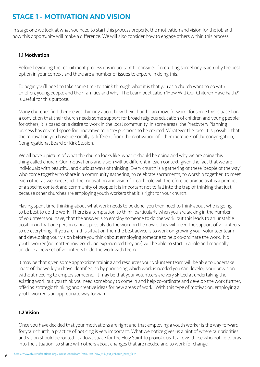# <span id="page-5-0"></span>STAGE 1 - MOTIVATION AND VISION

In stage one we look at what you need to start this process properly, the motivation and vision for the job and how this opportunity will make a difference. We will also consider how to engage others within this process.

#### 1.1 Motivation

Before beginning the recruitment process it is important to consider if recruiting somebody is actually the best option in your context and there are a number of issues to explore in doing this.

To begin you'll need to take some time to think through what it is that you as a church want to do with children, young people and their families and why. The Learn publication 'How Will Our Children Have Faith?'1 is useful for this purpose.

Many churches find themselves thinking about how their church can move forward; for some this is based on a conviction that their church needs some support for broad religious education of children and young people; for others, it is based on a desire to work in the local community. In some areas, the Presbytery Planning process has created space for innovative ministry positions to be created. Whatever the case, it is possible that the motivation you have personally is different from the motivation of other members of the congregation, Congregational Board or Kirk Session.

We all have a picture of what the church looks like, what it should be doing and why we are doing this thing called church. Our motivations and vision will be different in each context, given the fact that we are individuals with beautiful and curious ways of thinking. Every church is a gathering of these 'people of the way' who come together to share in a community gathering; to celebrate sacraments; to worship together; to meet each other as we meet God. The motivation and vision for each role will therefore be unique as it is a product of a specific context and community of people; it is important not to fall into the trap of thinking that just because other churches are employing youth workers that it is right for your church.

Having spent time thinking about what work needs to be done, you then need to think about who is going to be best to do the work. There is a temptation to think, particularly when you are lacking in the number of volunteers you have, that the answer is to employ someone to do the work, but this leads to an unstable position in that one person cannot possibly do the work on their own, they will need the support of volunteers to do everything. If you are in this situation then the best advice is to work on growing your volunteer team and developing your vision before you think about employing someone to help co-ordinate the work. No youth worker (no matter how good and experienced they are) will be able to start in a role and magically produce a new set of volunteers to do the work with them.

It may be that given some appropriate training and resources your volunteer team will be able to undertake most of the work you have identified, so by prioritising which work is needed you can develop your provision without needing to employ someone. It may be that your volunteers are very skilled at undertaking the existing work but you think you need somebody to come in and help co-ordinate and develop the work further, offering strategic thinking and creative ideas for new areas of work. With this type of motivation, employing a youth worker is an appropriate way forward.

# 1.2 Vision

Once you have decided that your motivations are right and that employing a youth worker is the way forward for your church, a practice of noticing is very important. What we notice gives us a hint of where our priorities and vision should be rooted. It allows space for the Holy Spirit to provoke us. It allows those who notice to pray into the situation, to share with others about changes that are needed and to work for change.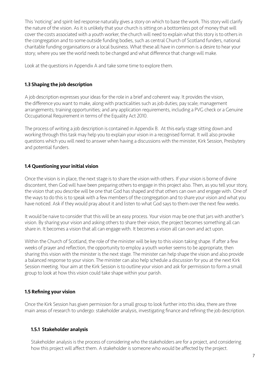This 'noticing' and spirit-led response naturally gives a story on which to base the work. This story will clarify the nature of the vision. As it is unlikely that your church is sitting on a bottomless pot of money that will cover the costs associated with a youth worker, the church will need to explain what this story is to others in the congregation and to some outside funding bodies, such as central Church of Scotland funders, national charitable funding organisations or a local business. What these all have in common is a desire to hear your story; where you see the world needs to be changed and what difference that change will make.

Look at the questions in Appendix A and take some time to explore them.

## 1.3 Shaping the job description

A job description expresses your ideas for the role in a brief and coherent way. It provides the vision, the difference you want to make, along with practicalities such as job duties; pay scale; management arrangements; training opportunities; and any application requirements, including a PVG check or a Genuine Occupational Requirement in terms of the Equality Act 2010.

The process of writing a job description is contained in Appendix B. At this early stage sitting down and working through this task may help you to explain your vision in a recognised format. It will also provoke questions which you will need to answer when having a discussions with the minister, Kirk Session, Presbytery and potential funders.

#### 1.4 Questioning your initial vision

Once the vision is in place, the next stage is to share the vision with others. If your vision is borne of divine discontent, then God will have been preparing others to engage in this project also. Then, as you tell your story, the vision that you describe will be one that God has shaped and that others can own and engage with. One of the ways to do this is to speak with a few members of the congregation and to share your vision and what you have noticed. Ask if they would pray about it and listen to what God says to them over the next few weeks.

It would be naive to consider that this will be an easy process. Your vision may be one that jars with another's vision. By sharing your vision and asking others to share their vision, the project becomes something all can share in. It becomes a vision that all can engage with. It becomes a vision all can own and act upon.

Within the Church of Scotland, the role of the minister will be key to this vision taking shape. If after a few weeks of prayer and reflection, the opportunity to employ a youth worker seems to be appropriate, then sharing this vision with the minister is the next stage. The minister can help shape the vision and also provide a balanced response to your vision. The minister can also help schedule a discussion for you at the next Kirk Session meeting. Your aim at the Kirk Session is to outline your vision and ask for permission to form a small group to look at how this vision could take shape within your parish.

# 1.5 Refining your vision

Once the Kirk Session has given permission for a small group to look further into this idea, there are three main areas of research to undergo: stakeholder analysis, investigating finance and refining the job description.

# 1.5.1 Stakeholder analysis

Stakeholder analysis is the process of considering who the stakeholders are for a project, and considering how this project will affect them. A stakeholder is someone who would be affected by the project.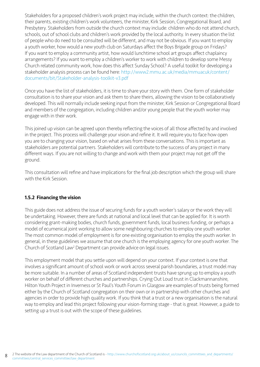Stakeholders for a proposed children's work project may include, within the church context: the children, their parents, existing children's work volunteers, the minister, Kirk Session, Congregational Board, and Presbytery. Stakeholders from outside the church context may include: children who do not attend church, schools, out of school clubs and children's work provided by the local authority. In every situation the list of people who do need to be consulted will be different, and may not be obvious. If you want to employ a youth worker, how would a new youth club on Saturdays affect the Boys Brigade group on Fridays? If you want to employ a community artist, how would lunchtime school art groups affect chaplaincy arrangements? If you want to employ a children's worker to work with children to develop some Messy Church related community work, how does this affect Sunday School? A useful toolkit for developing a stakeholder analysis process can be found here: [http://www2.mmu.ac.uk/media/mmuacuk/content/](http://www2.mmu.ac.uk/media/mmuacuk/content/documents/bit/Stakeholder-analysis-toolkit-v3.pdf) [documents/bit/Stakeholder-analysis-toolkit-v3.pdf](http://www2.mmu.ac.uk/media/mmuacuk/content/documents/bit/Stakeholder-analysis-toolkit-v3.pdf)

Once you have the list of stakeholders, it is time to share your story with them. One form of stakeholder consultation is to share your vision and ask them to share theirs, allowing the vision to be collaboratively developed. This will normally include seeking input from the minister, Kirk Session or Congregational Board and members of the congregation, including children and/or young people that the youth worker may engage with in their work.

This joined up vision can be agreed upon thereby reflecting the voices of all those affected by and involved in the project. This process will challenge your vision and refine it. It will require you to face how open you are to changing your vision, based on what arises from these conversations. This is important as stakeholders are potential partners. Stakeholders will contribute to the success of any project in many different ways. If you are not willing to change and work with them your project may not get off the ground.

This consultation will refine and have implications for the final job description which the group will share with the Kirk Session.

#### 1.5.2 Financing the vision

This guide does not address the issue of securing funds for a youth worker's salary or the work they will be undertaking. However, there are funds at national and local level that can be applied for. It is worth considering grant-making bodies, church funds, government funds, local business funding, or perhaps a model of ecumenical joint working to allow some neighbouring churches to employ one youth worker. The most common model of employment is for one existing organisation to employ the youth worker. In general, in these guidelines we assume that one church is the employing agency for one youth worker. The Church of Scotland Law<sup>2</sup> Department can provide advice on legal issues.

This employment model that you settle upon will depend on your context. If your context is one that involves a significant amount of school work or work across several parish boundaries, a trust model may be more suitable. In a number of areas of Scotland independent trusts have sprung up to employ a youth worker on behalf of different churches and partnerships. Crying Out Loud trust in Clackmannanshire, Hilton Youth Project in Inverness or St Paul's Youth Forum in Glasgow are examples of trusts being formed either by the Church of Scotland congregation on their own or in partnership with other churches and agencies in order to provide high quality work. If you think that a trust or a new organisation is the natural way to employ and lead this project following your vision-forming stage - that is great. However, a guide to setting up a trust is out with the scope of these guidelines.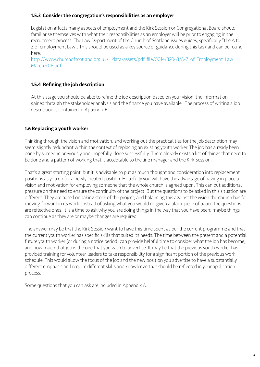#### 1.5.3 Consider the congregation's responsibilities as an employer

Legislation affects many aspects of employment and the Kirk Session or Congregational Board should familiarise themselves with what their responsibilities as an employer will be prior to engaging in the recruitment process. The Law Department of the Church of Scotland issues guides, specifically "the A to Z of employment Law". This should be used as a key source of guidance during this task and can be found here:

http://www.churchofscotland.org.uk/ data/assets/pdf file/0014/32063/A-Z of Employment Law [March2016.pdf.](http://www.churchofscotland.org.uk/__data/assets/pdf_file/0014/32063/A-Z_of_Employment_Law_March2016.pdf)

# 1.5.4 Refining the job description

At this stage you should be able to refine the job description based on your vision, the information gained through the stakeholder analysis and the finance you have available. The process of writing a job description is contained in Appendix B.

# 1.6 Replacing a youth worker

Thinking through the vision and motivation, and working out the practicalities for the job description may seem slightly redundant within the context of replacing an existing youth worker. The job has already been done by someone previously and, hopefully, done successfully. There already exists a list of things that need to be done and a pattern of working that is acceptable to the line manager and the Kirk Session.

That's a great starting point, but it is advisable to put as much thought and consideration into replacement positions as you do for a newly created position. Hopefully you will have the advantage of having in place a vision and motivation for employing someone that the whole church is agreed upon. This can put additional pressure on the need to ensure the continuity of the project. But the questions to be asked in this situation are different. They are based on taking stock of the project, and balancing this against the vision the church has for moving forward in its work. Instead of asking what you would do given a blank piece of paper, the questions are reflective ones. It is a time to ask why you are doing things in the way that you have been; maybe things can continue as they are or maybe changes are required.

The answer may be that the Kirk Session want to have this time spent as per the current programme and that the current youth worker has specific skills that suited its needs. The time between the present and a potential future youth worker (or during a notice period) can provide helpful time to consider what the job has become, and how much that job is the one that you wish to advertise. It may be that the previous youth worker has provided training for volunteer leaders to take responsibility for a significant portion of the previous work schedule. This would allow the focus of the job and the new position you advertise to have a substantially different emphasis and require different skills and knowledge that should be reflected in your application process.

Some questions that you can ask are included in Appendix A.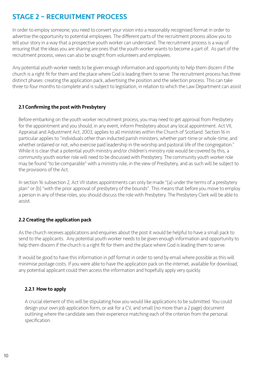# <span id="page-9-0"></span>STAGE 2 – RECRUITMENT PROCESS

In order to employ someone, you need to convert your vision into a reasonably recognised format in order to advertise the opportunity to potential employees. The different parts of the recruitment process allow you to tell your story in a way that a prospective youth worker can understand. The recruitment process is a way of ensuring that the ideas you are sharing are ones that the youth worker wants to become a part of. As part of the recruitment process, views can also be sought from volunteers and employees.

Any potential youth worker needs to be given enough information and opportunity to help them discern if the church is a right fit for them and the place where God is leading them to serve. The recruitment process has three distinct phases: creating the application pack, advertising the position and the selection process. This can take three to four months to complete and is subject to legislation, in relation to which the Law Department can assist

### 2.1 Confirming the post with Presbytery

Before embarking on the youth worker recruitment process, you may need to get approval from Presbytery for the appointment and you should, in any event, inform Presbytery about any local appointment. Act VII, Appraisal and Adjustment Act, 2003, applies to all ministries within the Church of Scotland. Section 16 in particular applies to "individuals other than inducted parish ministers, whether part-time or whole-time, and whether ordained or not, who exercise paid leadership in the worship and pastoral life of the congregation." While it is clear that a potential youth ministry and/or children's ministry role would be covered by this, a community youth worker role will need to be discussed with Presbytery. The community youth worker role may be found "to be comparable" with a ministry role, in the view of Presbytery, and as such will be subject to the provisions of the Act.

In section 16 subsection 2, Act VII states appointments can only be made "(a) under the terms of a presbytery plan" or (b) "with the prior approval of presbytery of the bounds". This means that before you move to employ a person in any of these roles, you should discuss the role with Presbytery. The Presbytery Clerk will be able to assist.

# 2.2 Creating the application pack

As the church receives applications and enquiries about the post it would be helpful to have a small pack to send to the applicants. Any potential youth worker needs to be given enough information and opportunity to help them discern if the church is a right fit for them and the place where God is leading them to serve.

It would be good to have this information in pdf format in order to send by email where possible as this will minimise postage costs. If you were able to have the application pack on the internet, available for download, any potential applicant could then access the information and hopefully apply very quickly.

# 2.2.1 How to apply

A crucial element of this will be stipulating how you would like applications to be submitted. You could design your own job application form, or ask for a CV, and small (no more than a 2 page) document outlining where the candidate sees their experience matching each of the criterion from the personal specification.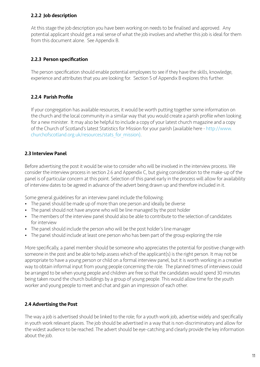## 2.2.2 Job description

At this stage the job description you have been working on needs to be finalised and approved. Any potential applicant should get a real sense of what the job involves and whether this job is ideal for them from this document alone. See Appendix B.

# 2.2.3 Person specification

The person specification should enable potential employees to see if they have the skills, knowledge, experience and attributes that you are looking for. Section 5 of Appendix B explores this further.

# 2.2.4 Parish Profile

If your congregation has available resources, it would be worth putting together some information on the church and the local community in a similar way that you would create a parish profile when looking for a new minister. It may also be helpful to include a copy of your latest church magazine and a copy of the Church of Scotland's latest Statistics for Mission for your parish (available here - [http://www.](http://www.churchofscotland.org.uk/resources/stats_for_mission) [churchofscotland.org.uk/resources/stats\\_for\\_mission\).](http://www.churchofscotland.org.uk/resources/stats_for_mission)

# 2.3 Interview Panel

Before advertising the post it would be wise to consider who will be involved in the interview process. We consider the interview process in section 2.6 and Appendix C, but giving consideration to the make-up of the panel is of particular concern at this point. Selection of this panel early in the process will allow for availability of interview dates to be agreed in advance of the advert being drawn up and therefore included in it.

Some general guidelines for an interview panel include the following:

- The panel should be made up of more than one person and ideally be diverse
- The panel should not have anyone who will be line managed by the post holder
- The members of the interview panel should also be able to contribute to the selection of candidates for interview
- The panel should include the person who will be the post holder's line manager
- The panel should include at least one person who has been part of the group exploring the role

More specifically, a panel member should be someone who appreciates the potential for positive change with someone in the post and be able to help assess which of the applicant(s) is the right person. It may not be appropriate to have a young person or child on a formal interview panel, but it is worth working in a creative way to obtain informal input from young people concerning the role. The planned times of interviews could be arranged to be when young people and children are free so that the candidates would spend 30 minutes being taken round the church buildings by a group of young people. This would allow time for the youth worker and young people to meet and chat and gain an impression of each other.

# 2.4 Advertising the Post

The way a job is advertised should be linked to the role; for a youth work job, advertise widely and specifically in youth work relevant places. The job should be advertised in a way that is non-discriminatory and allow for the widest audience to be reached. The advert should be eye-catching and clearly provide the key information about the job.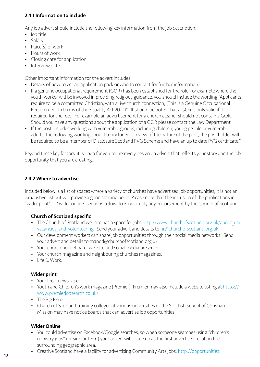# 2.4.1 Information to include

Any job advert should include the following key information from the job description:

- Job title
- Salary
- Place(s) of work
- Hours of work
- Closing date for application
- Interview date

Other important information for the advert includes:

- Details of how to get an application pack or who to contact for further information.
- If a genuine occupational requirement (GOR) has been established for the role, for example where the youth worker will be involved in providing religious guidance, you should include the wording "Applicants require to be a committed Christian, with a live church connection, (This is a Genuine Occupational Requirement in terms of the Equality Act 2010)". It should be noted that a GOR is only valid if it is required for the role. For example an advertisement for a church cleaner should not contain a GOR. Should you have any questions about the application of a GOR please contact the Law Department.
- If the post includes working with vulnerable groups, including children, young people or vulnerable adults, the following wording should be included: "In view of the nature of the post, the post holder will be required to be a member of Disclosure Scotland PVG Scheme and have an up to date PVG certificate."

Beyond these key factors, it is open for you to creatively design an advert that reflects your story and the job opportunity that you are creating.

# 2.4.2 Where to advertise

Included below is a list of spaces where a variety of churches have advertised job opportunities; it is not an exhaustive list but will provide a good starting point. Please note that the inclusion of the publications in "wider print" or "wider online" sections below does not imply any endorsement by the Church of Scotland.

# Church of Scotland specific

- The Church of Scotland website has a space for jobs [http://www.churchofscotland.org.uk/about\\_us/](http://www.churchofscotland.org.uk/about_us/vacancies_and_volunteering) vacancies and volunteering. Send your advert and details to hr@churchofscotland.org.uk
- Our development workers can share job opportunities through their social media networks. Send your advert and details to mandd@churchofscotland.org.uk
- Your church noticeboard, website and social media presence.
- Your church magazine and neighbouring churches magazines.
- Life & Work.

# Wider print

- Your local newspaper.
- Youth and Children's work magazine (Premier). Premier may also include a website listing at https:// www.premierjobsearch.co.uk/
- The Big Issue.
- Church of Scotland training colleges at various universities or the Scottish School of Christian Mission may have notice boards that can advertise job opportunities.

# Wider Online

- You could advertise on Facebook/Google searches, so when someone searches using "children's ministry jobs" (or similar term) your advert will come up as the first advertised result in the surrounding geographic area.
- Creative Scotland have a facility for advertising Community Arts Jobs: [http://opportunities.](http://opportunities.creativescotland.com/?filter=upcoming-deadlines)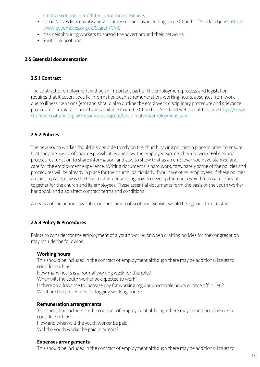[creativescotland.com/?filter=upcoming-deadlines](http://opportunities.creativescotland.com/?filter=upcoming-deadlines)

- Good Moves lists charity and voluntary sector jobs, including some Church of Scotland jobs: [http://](http://www.goodmoves.org.uk/Search/CMS) [www.goodmoves.org.uk/Search/CMS](http://www.goodmoves.org.uk/Search/CMS)
- Ask neighbouring workers to spread the advert around their networks.
- Youthlink Scotland

#### 2.5 Essential documentation

#### 2.5.1 Contract

The contract of employment will be an important part of the employment process and legislation requires that it covers specific information such as remuneration, working hours, absences from work due to illness, pensions (etc) and should also outline the employer's disciplinary procedure and grievance procedure. Template contracts are available from the Church of Scotland website, at this link: [http://www.](http://www.churchofscotland.org.uk/resources/subjects/law_circulars#employment_law) [churchofscotland.org.uk/resources/subjects/law\\_circulars#employment\\_law](http://www.churchofscotland.org.uk/resources/subjects/law_circulars#employment_law)

#### 2.5.2 Policies

The new youth worker should also be able to rely on the church having policies in place in order to ensure that they are aware of their responsibilities and how the employer expects them to work. Policies and procedures function to share information, and also to show that as an employer you have planned and care for the employment experience. Writing documents is hard work; fortunately some of the policies and procedures will be already in place for the church, particularly if you have other employees. If these policies are not in place, now is the time to start considering how to develop them in a way that ensures they fit together for the church and its employees. These essential documents form the basis of the youth worker handbook and also affect contract terms and conditions.

A review of the policies available on the Church of Scotland website would be a good place to start:

#### 2.5.3 Policy & Procedures

Points to consider for the employment of a youth worker or when drafting policies for the congregation may include the following:

#### Working hours

This should be included in the contract of employment although there may be additional issues to consider such as:

How many hours is a normal working week for this role?

When will the youth worker be expected to work?

Is there an allowance to increase pay for working regular unsociable hours or time off in lieu? What are the procedures for logging working hours?

#### Remuneration arrangements

This should be included in the contract of employment although there may be additional issues to consider such as: How and when will the youth worker be paid.

Will the youth worker be paid in arrears?

#### Expenses arrangements

This should be included in the contract of employment although there may be additional issues to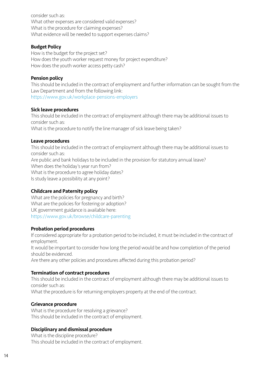consider such as: What other expenses are considered valid expenses? What is the procedure for claiming expenses? What evidence will be needed to support expenses claims?

#### Budget Policy

How is the budget for the project set? How does the youth worker request money for project expenditure? How does the youth worker access petty cash?

#### Pension policy

This should be included in the contract of employment and further information can be sought from the Law Department and from the following link: <https://www.gov.uk/workplace-pensions-employers>

#### Sick leave procedures

This should be included in the contract of employment although there may be additional issues to consider such as:

What is the procedure to notify the line manager of sick leave being taken?

#### Leave procedures

This should be included in the contract of employment although there may be additional issues to consider such as: Are public and bank holidays to be included in the provision for statutory annual leave? When does the holiday's year run from? What is the procedure to agree holiday dates? Is study leave a possibility at any point?

#### Childcare and Paternity policy

What are the policies for pregnancy and birth? What are the policies for fostering or adoption? UK government guidance is available here: <https://www.gov.uk/browse/childcare-parenting>

#### Probation period procedures

If considered appropriate for a probation period to be included, it must be included in the contract of employment.

It would be important to consider how long the period would be and how completion of the period should be evidenced.

Are there any other policies and procedures affected during this probation period?

#### Termination of contract procedures

This should be included in the contract of employment although there may be additional issues to consider such as:

What the procedure is for returning employers property at the end of the contract.

#### Grievance procedure

What is the procedure for resolving a grievance? This should be included in the contract of employment.

#### Disciplinary and dismissal procedure

What is the discipline procedure? This should be included in the contract of employment.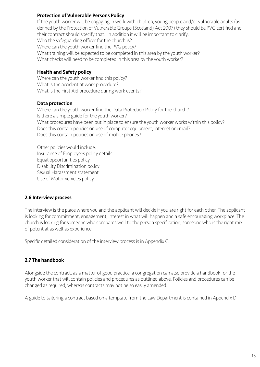#### Protection of Vulnerable Persons Policy

If the youth worker will be engaging in work with children, young people and/or vulnerable adults (as defined by the Protection of Vulnerable Groups (Scotland) Act 2007) they should be PVG certified and their contract should specify that. In addition it will be important to clarify: Who the safeguarding officer for the church is? Where can the youth worker find the PVG policy? What training will be expected to be completed in this area by the youth worker? What checks will need to be completed in this area by the youth worker?

## Health and Safety policy

Where can the youth worker find this policy? What is the accident at work procedure? What is the First Aid procedure during work events?

### Data protection

Where can the youth worker find the Data Protection Policy for the church? Is there a simple guide for the youth worker? What procedures have been put in place to ensure the youth worker works within this policy? Does this contain policies on use of computer equipment, internet or email? Does this contain policies on use of mobile phones?

Other policies would include: Insurance of Employees policy details Equal opportunities policy Disability Discrimination policy Sexual Harassment statement Use of Motor vehicles policy

#### 2.6 Interview process

The interview is the place where you and the applicant will decide if you are right for each other. The applicant is looking for commitment, engagement, interest in what will happen and a safe encouraging workplace. The church is looking for someone who compares well to the person specification, someone who is the right mix of potential as well as experience.

Specific detailed consideration of the interview process is in Appendix C.

# 2.7 The handbook

Alongside the contract, as a matter of good practice, a congregation can also provide a handbook for the youth worker that will contain policies and procedures as outlined above. Policies and procedures can be changed as required, whereas contracts may not be so easily amended.

A guide to tailoring a contract based on a template from the Law Department is contained in Appendix D.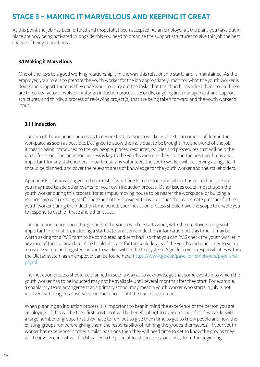# <span id="page-15-0"></span>STAGE 3 – MAKING IT MARVELLOUS AND KEEPING IT GREAT

At this point the job has been offered and (hopefully) been accepted. As an employer all the plans you have put in place are now being activated. Alongside this you need to organise the support structures to give this job the best chance of being marvellous.

#### 3.1 Making it Marvellous

One of the keys to a good working relationship is in the way this relationship starts and is maintained. As the employer, your role is to prepare the youth worker for the job appropriately, monitor what the youth worker is doing and support them as they endeavour to carry out the tasks that the church has asked them to do. There are three key factors involved: firstly, an induction process; secondly, ongoing line management and support structures; and thirdly, a process of reviewing project(s) that are being taken forward and the youth worker's input.

#### 3.1.1 Induction

The aim of the induction process is to ensure that the youth worker is able to become confident in the workplace as soon as possible. Designed to allow the individual to be brought into the world of the job, it means being introduced to the key people, places, resources, policies and procedures that will help the job to function. The induction process is key to the youth worker as they start in the position, but is also important for any stakeholders, in particular any volunteers the youth worker will be serving alongside. It should be planned, and cover the relevant areas of knowledge for the youth worker and the stakeholders.

Appendix E contains a suggested checklist of what needs to be done and when. It is not exhaustive and you may need to add other events for your own induction process. Other issues could impact upon the youth worker during this process, for example, moving house to be nearer the workplace, or building a relationship with existing staff. These and other considerations are issues that can create pressure for the youth worker during the induction time period; your induction process should have the scope to enable you to respond to each of these and other issues.

The induction period should begin before the youth worker starts work, with the employee being sent important information, including a start date, and some induction information. At this time, it may be worth asking for a PVG form to be completed and sent back so that you can PVG check the youth worker in advance of the starting date. You should also ask for the bank details of the youth worker in order to set up a payroll system and register the youth worker within the tax system. A guide to your responsibilities within the UK tax system as an employer can be found here: [https://www.gov.uk/paye-for-employers/paye-and](https://www.gov.uk/paye-for-employers/paye-and-payroll)[payroll](https://www.gov.uk/paye-for-employers/paye-and-payroll)

The induction process should be planned in such a way as to acknowledge that some events into which the youth worker has to be inducted may not be available until several months after they start. For example, a chaplaincy team arrangement at a primary school may mean a youth worker who starts in July is not involved with religious observance in the school until the end of September.

When planning an induction process it is important to bear in mind the experience of the person you are employing. If this will be their first position it will be beneficial not to overload their first few weeks with a large number of groups that they have to run, but to give them time to get to know people and how the existing groups run before giving them the responsibility of running the groups themselves. If your youth worker has experience in other similar positions then they will need time to get to know the groups they will be involved in but will find it easier to be given at least some responsibility from the beginning.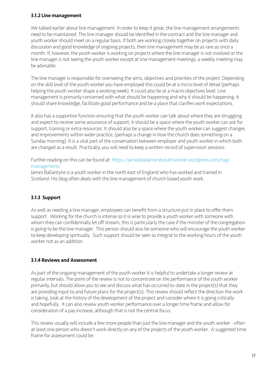## 3.1.2 Line management

We talked earlier about line management. In order to keep it great, the line management arrangements need to be maintained. The line manager should be identified in the contract and the line manager and youth worker should meet on a regular basis. If both are working closely together on projects with daily discussion and good knowledge of ongoing projects, then line management may be as rare as once a month. If, however, the youth worker is working on projects where the line manager is not involved or the line manager is not seeing the youth worker except at line management meetings, a weekly meeting may be advisable.

The line manager is responsible for overseeing the aims, objectives and priorities of the project. Depending on the skill level of the youth worker you have employed this could be at a micro level of detail (perhaps helping the youth worker shape a working week). It could also be at a macro objectives level. Line management is primarily concerned with what should be happening and why it should be happening. It should share knowledge, facilitate good performance and be a place that clarifies work expectations.

It also has a supportive function ensuring that the youth worker can talk about where they are struggling and expect to receive some assurance of support; it should be a space where the youth worker can ask for support, training or extra resources. It should also be a space where the youth worker can suggest changes and improvements within wider practice, (perhaps a change in how the church does something on a Sunday morning). It is a vital part of the conversation between employer and youth worker in which both are changed as a result. Practically, you will need to keep a written record of supervision sessions.

Further reading on this can be found at: [https://jamesballantyneyouthworker.wordpress.com/tag/](https://jamesballantyneyouthworker.wordpress.com/tag/management/) [management/](https://jamesballantyneyouthworker.wordpress.com/tag/management/)

James Ballantyne is a youth worker in the north east of England who has worked and trained in Scotland. His blog often deals with the line management of church based youth work.

# 3.1.3 Support

As well as needing a line manager, employees can benefit from a structure put in place to offer them support. Working for the church is intense so it is wise to provide a youth worker with someone with whom they can confidentially let off stream; this is particularly the case if the minister of the congregation is going to be the line manager. This person should also be someone who will encourage the youth worker to keep developing spiritually. Such support should be seen as integral to the working hours of the youth worker not as an addition.

# 3.1.4 Reviews and Assessment

As part of the ongoing management of the youth worker it is helpful to undertake a longer review at regular intervals. The point of the review is not to concentrate on the performance of the youth worker primarily, but should allow you to see and discuss what has occurred to-date in the project(s) that they are providing input to and future plans for the project(s). This review should reflect the direction the work is taking, look at the history of the development of the project and consider where it is going critically and hopefully. It can also review youth worker performance over a longer time frame and allow for consideration of a pay increase, although that is not the central focus.

This review usually will include a few more people than just the line manager and the youth worker - often at least one person who doesn't work directly on any of the projects of the youth worker. A suggested time frame for assessment could be: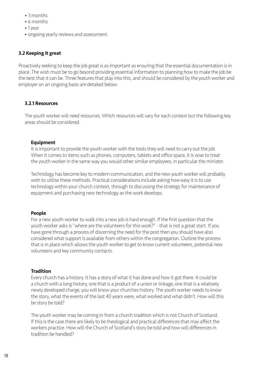- 3 months
- 6 months
- 1 year
- ongoing yearly reviews and assessment.

#### 3.2 Keeping it great

Proactively seeking to keep the job great is as important as ensuring that the essential documentation is in place. The wish must be to go beyond providing essential information to planning how to make the job be the best that it can be. Three features that play into this, and should be considered by the youth worker and employer on an ongoing basis are detailed below:

#### 3.2.1 Resources

The youth worker will need resources. Which resources will vary for each context but the following key areas should be considered.

#### Equipment

It is important to provide the youth worker with the tools they will need to carry out the job. When it comes to items such as phones, computers, tablets and office space, it is wise to treat the youth worker in the same way you would other similar employees, in particular the minister.

Technology has become key to modern communication, and the new youth worker will probably wish to utilise these methods. Practical considerations include asking how easy it is to use technology within your church context, through to discussing the strategy for maintenance of equipment and purchasing new technology as the work develops.

#### People

For a new youth worker to walk into a new job is hard enough. If the first question that the youth worker asks is "where are the volunteers for this work?" - that is not a great start. If you have gone through a process of discerning the need for the post then you should have also considered what support is available from others within the congregation. Outline the process that is in place which allows the youth worker to get to know current volunteers, potential new volunteers and key community contacts.

#### **Tradition**

Every church has a history. It has a story of what it has done and how it got there. It could be a church with a long history, one that is a product of a union or linkage, one that is a relatively newly developed charge, you will know your churches history. The youth worker needs to know the story, what the events of the last 40 years were, what worked and what didn't. How will this be story be told?

The youth worker may be coming in from a church tradition which is not Church of Scotland. If this is the case there are likely to be theological and practical differences that may affect the workers practice. How will the Church of Scotland's story be told and how will differences in tradition be handled?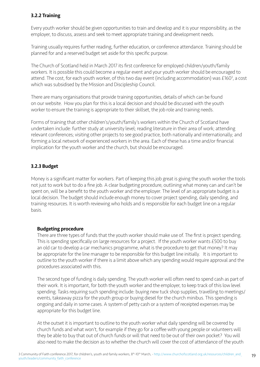## 3.2.2 Training

Every youth worker should be given opportunities to train and develop and it is your responsibility, as the employer, to discuss, assess and seek to meet appropriate training and development needs.

Training usually requires further reading, further education, or conference attendance. Training should be planned for and a reserved budget set aside for this specific purpose.

The Church of Scotland held in March 2017 its first conference for employed children/youth/family workers. It is possible this could become a regular event and your youth worker should be encouraged to attend. The cost, for each youth worker, of this two day event (including accommodation) was £160<sup>3</sup>, a cost which was subsidised by the Mission and Discipleship Council.

There are many organisations that provide training opportunities, details of which can be found on our website. How you plan for this is a local decision and should be discussed with the youth worker to ensure the training is appropriate to their skillset, the job role and training needs.

Forms of training that other children's/youth/family's workers within the Church of Scotland have undertaken include: further study at university level; reading literature in their area of work; attending relevant conferences; visiting other projects to see good practice, both nationally and internationally; and forming a local network of experienced workers in the area. Each of these has a time and/or financial implication for the youth worker and the church, but should be encouraged.

### 3.2.3 Budget

Money is a significant matter for workers. Part of keeping this job great is giving the youth worker the tools not just to work but to do a fine job. A clear budgeting procedure, outlining what money can and can't be spent on, will be a benefit to the youth worker and the employer. The level of an appropriate budget is a local decision. The budget should include enough money to cover project spending, daily spending, and training resources. It is worth reviewing who holds and is responsible for each budget line on a regular basis.

#### Budgeting procedure

There are three types of funds that the youth worker should make use of. The first is project spending. This is spending specifically on large resources for a project. If the youth worker wants £500 to buy an old car to develop a car mechanics programme, what is the procedure to get that money? It may be appropriate for the line manager to be responsible for this budget line initially. It is important to outline to the youth worker if there is a limit above which any spending would require approval and the procedures associated with this.

The second type of funding is daily spending. The youth worker will often need to spend cash as part of their work. It is important, for both the youth worker and the employer, to keep track of this low level spending. Tasks requiring such spending include: buying new tuck shop supplies, travelling to meetings/ events, takeaway pizza for the youth group or buying diesel for the church minibus. This spending is ongoing and daily in some cases. A system of petty cash or a system of receipted expenses may be appropriate for this budget line.

At the outset it is important to outline to the youth worker what daily spending will be covered by church funds and what won't, for example if they go for a coffee with young people or volunteers will they be able to buy that out of church funds or will that need to be out of their own pocket? You will also need to make the decision as to whether the church will cover the cost of attendance of the youth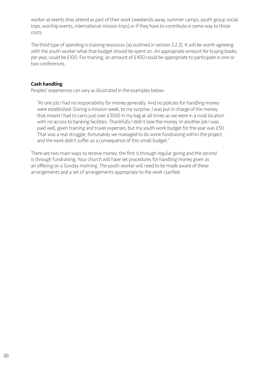worker at events they attend as part of their work (weekends away, summer camps, youth group social trips, worship events, international mission trips) or if they have to contribute in some way to those costs.

The third type of spending is training resources (as outlined in section 3.2.2). It will be worth agreeing with the youth worker what that budget should be spent on. An appropriate amount for buying books, per year, could be £100. For training, an amount of £400 could be appropriate to participate in one or two conferences.

#### Cash handling

Peoples' experiences can vary as illustrated in the examples below:

"At one job I had no responsibility for money generally. And no policies for handling money were established. During a mission week, to my surprise, I was put in charge of the money; that meant I had to carry just over £3500 in my bag at all times as we were in a rural location with no access to banking facilities. Thankfully I didn't lose the money. In another job I was paid well, given training and travel expenses, but my youth work budget for the year was £50. That was a real struggle; fortunately we managed to do some fundraising within the project, and the work didn't suffer as a consequence of this small budget."

There are two main ways to receive money: the first is through regular giving and the second is through fundraising. Your church will have set procedures for handling money given as an offering on a Sunday morning. The youth worker will need to be made aware of these arrangements and a set of arrangements appropriate to the work clarified.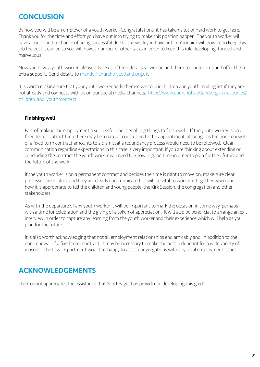# <span id="page-20-0"></span>**CONCLUSION**

By now you will be an employer of a youth worker. Congratulations, it has taken a lot of hard work to get here. Thank you for the time and effort you have put into trying to make this position happen. The youth worker will have a much better chance of being successful due to the work you have put in. Your aim will now be to keep this job the best it can be so you will have a number of other tasks in order to keep this role developing, funded and marvellous.

Now you have a youth worker, please advise us of their details so we can add them to our records and offer them extra support. Send details to [mandd@churchofscotland.org.uk](mailto:mandd@churchofscotland.org.uk).

It is worth making sure that your youth worker adds themselves to our children and youth mailing list if they are not already and connects with us on our social media channels. [http://www.churchofscotland.org.uk/resources/](http://www.churchofscotland.org.uk/resources/children_and_youth/connect) [children\\_and\\_youth/connect](http://www.churchofscotland.org.uk/resources/children_and_youth/connect)

# Finishing well

Part of making the employment a successful one is enabling things to finish well. If the youth worker is on a fixed term contract then there may be a natural conclusion to the appointment, although as the non-renewal of a fixed term contract amounts to a dismissal a redundancy process would need to be followed. Clear communication regarding expectations in this case is very important; if you are thinking about extending or concluding the contract the youth worker will need to know in good time in order to plan for their future and the future of the work.

If the youth worker is on a permanent contract and decides the time is right to move on, make sure clear processes are in place and they are clearly communicated. It will be vital to work out together when and how it is appropriate to tell the children and young people, the Kirk Session, the congregation and other stakeholders.

As with the departure of any youth worker it will be important to mark the occasion in some way, perhaps with a time for celebration and the giving of a token of appreciation. It will also be beneficial to arrange an exit interview in order to capture any learning from the youth worker and their experience which will help as you plan for the future.

It is also worth acknowledging that not all employment relationships end amicably and, in addition to the non-renewal of a fixed term contract, it may be necessary to make the post redundant for a wide variety of reasons. The Law Department would be happy to assist congregations with any local employment issues.

# ACKNOWLEDGEMENTS

The Council appreciates the assistance that Scott Paget has provided in developing this guide.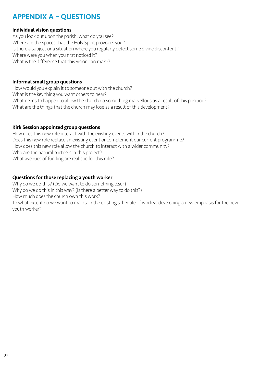# <span id="page-21-0"></span>APPENDIX A – QUESTIONS

#### Individual vision questions

As you look out upon the parish, what do you see? Where are the spaces that the Holy Spirit provokes you? Is there a subject or a situation where you regularly detect some divine discontent? Where were you when you first noticed it? What is the difference that this vision can make?

#### Informal small group questions

How would you explain it to someone out with the church? What is the key thing you want others to hear? What needs to happen to allow the church do something marvellous as a result of this position? What are the things that the church may lose as a result of this development?

#### Kirk Session appointed group questions

How does this new role interact with the existing events within the church? Does this new role replace an existing event or complement our current programme? How does this new role allow the church to interact with a wider community? Who are the natural partners in this project? What avenues of funding are realistic for this role?

#### Questions for those replacing a youth worker

Why do we do this? (Do we want to do something else?) Why do we do this in this way? (Is there a better way to do this?) How much does the church own this work? To what extent do we want to maintain the existing schedule of work vs developing a new emphasis for the new youth worker?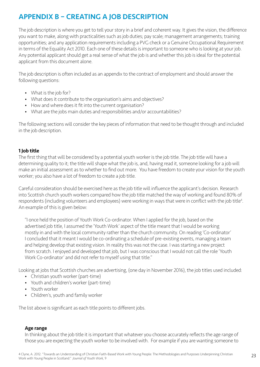# <span id="page-22-0"></span>APPENDIX B – CREATING A JOB DESCRIPTION

The job description is where you get to tell your story in a brief and coherent way. It gives the vision, the difference you want to make, along with practicalities such as job duties; pay scale; management arrangements; training opportunities; and any application requirements including a PVG check or a Genuine Occupational Requirement in terms of the Equality Act 2010. Each one of these details is important to someone who is looking at your job. Any potential applicant should get a real sense of what the job is and whether this job is ideal for the potential applicant from this document alone.

The job description is often included as an appendix to the contract of employment and should answer the following questions:

- What is the job for?
- What does it contribute to the organisation's aims and objectives?
- How and where does it fit into the current organisation?
- What are the jobs main duties and responsibilities and/or accountabilities?

The following sections will consider the key pieces of information that need to be thought through and included in the job description.

# 1 Job title

The first thing that will be considered by a potential youth worker is the job title. The job title will have a determining quality to it; the title will shape what the job is, and, having read it, someone looking for a job will make an initial assessment as to whether to find out more. You have freedom to create your vision for the youth worker; you also have a lot of freedom to create a job title.

Careful consideration should be exercised here as the job title will influence the applicant's decision. Research into Scottish church youth workers compared how the job title matched the way of working and found 80% of respondents (including volunteers and employees) were working in ways that were in conflict with the job title<sup>4</sup>. An example of this is given below:

"I once held the position of Youth Work Co-ordinator. When I applied for the job, based on the advertised job title, I assumed the 'Youth Work' aspect of the title meant that I would be working mostly in and with the local community rather than the church community. On reading 'Co-ordinator' I concluded that it meant I would be co-ordinating a schedule of pre-existing events, managing a team and helping develop that existing vision. In reality this was not the case. I was starting a new project from scratch. I enjoyed and developed that job, but I was conscious that I would not call the role 'Youth Work Co-ordinator' and did not refer to myself using that title."

Looking at jobs that Scottish churches are advertising, (one day in November 2016), the job titles used included:

- Christian youth worker (part-time)
- Youth and children's worker (part-time)
- Youth worker
- Children's, youth and family worker

The list above is significant as each title points to different jobs.

#### Age range

In thinking about the job title it is important that whatever you choose accurately reflects the age range of those you are expecting the youth worker to be involved with. For example if you are wanting someone to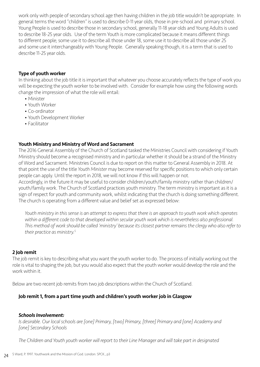work only with people of secondary school age then having children in the job title wouldn't be appropriate. In general terms the word "children" is used to describe 0-11 year olds, those in pre-school and primary school. Young People is used to describe those in secondary school, generally 11-18 year olds and Young Adults is used to describe 18-25 year olds. Use of the term Youth is more complicated because it means different things to different people; some use it to describe all those under 18, some use it to describe all those under 25 and some use it interchangeably with Young People. Generally speaking though, it is a term that is used to describe 11-25 year olds.

#### Type of youth worker

In thinking about the job title it is important that whatever you choose accurately reflects the type of work you will be expecting the youth worker to be involved with. Consider for example how using the following words change the impression of what the role will entail:

- Minister
- Youth Worker
- Co-ordinator
- Youth Development Worker
- Facilitator

### Youth Ministry and Ministry of Word and Sacrament

The 2016 General Assembly of the Church of Scotland tasked the Ministries Council with considering if Youth Ministry should become a recognised ministry and in particular whether it should be a strand of the Ministry of Word and Sacrament. Ministries Council is due to report on this matter to General Assembly in 2018. At that point the use of the title *Youth Minister* may become reserved for specific positions to which only certain people can apply. Until the report in 2018, we will not know if this will happen or not.

Accordingly, in the future it may be useful to consider children/youth/family ministry rather than children/ youth/family work. The Church of Scotland practices youth ministry. The term ministry is important as it is a sign of respect for youth and community work, whilst indicating that the church is doing something different. The church is operating from a different value and belief set as expressed below:

*Youth ministry in this sense is an attempt to express that there is an approach to youth work which operates*  within a different code to that developed within secular youth work which is nevertheless also professional. *This method of work should be called 'ministry' because its closest partner remains the clergy who also refer to their practice as ministry.<sup>5</sup>*

#### 2 Job remit

The job remit is key to describing what you want the youth worker to do. The process of initially working out the role is vital to shaping the job, but you would also expect that the youth worker would develop the role and the work within it.

Below are two recent job remits from two job descriptions within the Church of Scotland.

# Job remit 1, from a part time youth and children's youth worker job in Glasgow

#### *Schools Involvement:*

*Is desirable. Our local schools are [one] Primary, [two] Primary, [three] Primary and [one] Academy and [one] Secondary Schools* 

*The Children and Youth youth worker will report to their Line Manager and will take part in designated*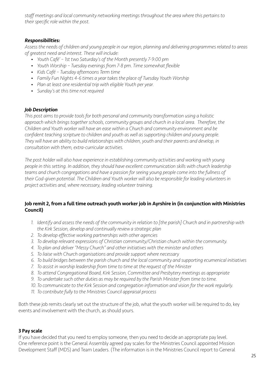*staff meetings and local community networking meetings throughout the area where this pertains to their specific role within the post.* 

#### *Responsibilities:*

*Assess the needs of children and young people in our region, planning and delivering programmes related to areas of greatest need and interest. These will include:* 

- *• Youth Café' 1st two Saturday's of the Month presently 7-9:00 pm*
- *• Youth Worship Tuesday evenings from 7-8 pm. Time somewhat flexible*
- *Kids Café Tuesday afternoons Term time*
- *• Family Fun Nights 4-6 times a year takes the place of Tuesday Youth Worship*
- *• Plan at least one residential trip with eligible Youth per year.*
- *• Sunday's at this time not required*

### *Job Description*

*This post aims to provide tools for both personal and community transformation using a holistic approach which brings together schools, community groups and church in a local area. Therefore, the Children and Youth worker will have an ease within a Church and community environment and be confident teaching scripture to children and youth as well as supporting children and young people. They will have an ability to build relationships with children, youth and their parents and develop, in consultation with them, extra-curricular activities.* 

*The post holder will also have experience in establishing community activities and working with young people in this setting. In addition, they should have excellent communication skills with church leadership teams and church congregations and have a passion for seeing young people come into the fullness of their God-given potential. The Children and Youth worker will also be responsible for leading volunteers in project activities and, where necessary, leading volunteer training.*

#### Job remit 2, from a full time outreach youth worker job in Ayrshire in (in conjunction with Ministries Council)

- 1. Identify and assess the needs of the community in relation to [the parish] Church and in partnership with *the Kirk Session, develop and continually review a strategic plan*
- *2. To develop effective working partnerships with other agencies*
- *3. To develop relevant expressions of Christian community/Christian church within the community.*
- *4. To plan and deliver "Messy Church" and other initiatives with the minister and others*
- *5. To liaise with Church organisations and provide support where necessary*
- *6. To build bridges between the parish church and the local community and supporting ecumenical initiatives*
- *7. To assist in worship leadership from time to time at the request of the Minister*
- *8. To attend Congregational Board, Kirk Session, Committee and Presbytery meetings as appropriate*
- *9. To undertake such other duties as may be required by the Parish Minister from time to time.*
- *10.To communicate to the Kirk Session and congregation information and vision for the work regularly.*
- *11. To contribute fully to the Ministries Council appraisal process*

Both these job remits clearly set out the structure of the job, what the youth worker will be required to do, key events and involvement with the church, as should yours.

# 3 Pay scale

If you have decided that you need to employ someone, then you need to decide an appropriate pay level. One reference point is the General Assembly agreed pay scales for the Ministries Council appointed Mission Development Staff (MDS) and Team Leaders. (The information is in the Ministries Council report to General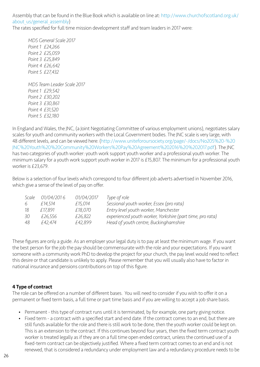Assembly that can be found in the Blue Book which is available on line at: [http://www.churchofscotland.org.uk/](http://www.churchofscotland.org.uk/about_us/general_assembly) about us/general assembly)

The rates specified for full time mission development staff and team leaders in 2017 were:

*MDS General Scale 2017 Point 1 £24,266 Point 2 £25,059 Point 3 £25,849 Point 4 £26,642 Point 5 £27,432 MDS Team Leader Scale 2017 Point 1 £29,542 Point 2 £30,202 Point 3 £30,861 Point 4 £31,520 Point 5 £32,180*

In England and Wales, the JNC, (a Joint Negotiating Committee of various employment unions), negotiates salary scales for youth and community workers with the Local Government bodies. The JNC scale is very large, with 48 different levels, and can be viewed here: [\(http://www.uniteforoursociety.org/page/-/docs/No205%20-%20](http://www.uniteforoursociety.org/page/-/docs/No205%20-%20JNC%20Youth%20%20Community%20Workers%20Pay%20Agreement%202016%20%202017.pdf) [JNC%20Youth%20%20Community%20Workers%20Pay%20Agreement%202016%20%202017.pdf](http://www.uniteforoursociety.org/page/-/docs/No205%20-%20JNC%20Youth%20%20Community%20Workers%20Pay%20Agreement%202016%20%202017.pdf)). The JNC has two categories of youth worker: youth work support youth worker and a professional youth worker. The minimum salary for a youth work support youth worker in 2017 is £15,807. The minimum for a professional youth worker is £23,679.

Below is a selection of four levels which correspond to four different job adverts advertised in November 2016, which give a sense of the level of pay on offer.

| Scale | 01/04/2016 | 01/04/2017 | Type of role                                              |
|-------|------------|------------|-----------------------------------------------------------|
| 6     | £14,514    | £15,014    | Sessional youth worker, Essex (pro rata)                  |
| 18    | £17.891    | £18,070    | Entry level youth worker, Manchester                      |
| 30    | £26,556    | £26,822    | experienced youth worker, Yorkshire (part time, pro rata) |
| 48    | £42.474    | £42,899    | Head of youth centre, Buckinghamshire                     |

These figures are only a guide. As an employer your legal duty is to pay at least the minimum wage. If you want the best person for the job the pay should be commensurate with the role and your expectations. If you want someone with a community work PhD to develop the project for your church, the pay level would need to reflect this desire or that candidate is unlikely to apply. Please remember that you will usually also have to factor in national insurance and pensions contributions on top of this figure.

# 4 Type of contract

The role can be offered on a number of different bases. You will need to consider if you wish to offer it on a permanent or fixed term basis, a full time or part time basis and if you are willing to accept a job share basis.

- Permanent this type of contract runs until it is terminated, by for example, one party giving notice.
- Fixed term a contract with a specified start and end date. If the contract comes to an end, but there are still funds available for the role and there is still work to be done, then the youth worker could be kept on. This is an extension to the contract. If this continues beyond four years, then the fixed term contract youth worker is treated legally as if they are on a full time open ended contract, unless the continued use of a fixed-term contract can be objectively justified. Where a fixed term contract comes to an end and is not renewed, that is considered a redundancy under employment law and a redundancy procedure needs to be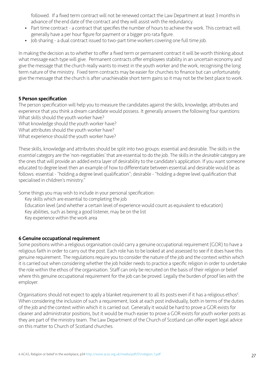followed. If a fixed term contract will not be renewed contact the Law Department at least 3 months in advance of the end date of the contract and they will assist with the redundancy.

- Part time contract a contract that specifies the number of hours to achieve the work. This contract will generally have a per hour figure for payment or a bigger pro rata figure.
- Job sharing a dual contract issued to two-part time workers covering one full time job.

In making the decision as to whether to offer a fixed term or permanent contract it will be worth thinking about what message each type will give. Permanent contracts offer employees stability in an uncertain economy and give the message that the church really wants to invest in the youth worker and the work, recognising the long term nature of the ministry. Fixed term contracts may be easier for churches to finance but can unfortunately give the message that the church is after unachievable short term gains so it may not be the best place to work.

#### 5 Person specification

The person specification will help you to measure the candidates against the skills, knowledge, attributes and experience that you think a dream candidate would possess. It generally answers the following four questions: What skills should the youth worker have?

What knowledge should the youth worker have?

What attributes should the youth worker have?

What experience should the youth worker have?

These skills, knowledge and attributes should be split into two groups: essential and desirable. The skills in the *essential* category are the 'non-negotiables' that are essential to do the job. The skills in the *desirable* category are the ones that will provide an added extra layer of desirability to the candidate's application. If you want someone educated to degree level then an example of how to differentiate between essential and desirable would be as follows: essential - "holding a degree level qualification"; desirable - "holding a degree level qualification that specialised in children's ministry."

Some things you may wish to include in your personal specification:

Key skills which are essential to completing the job

Education level (and whether a certain level of experience would count as equivalent to education)

Key abilities, such as being a good listener, may be on the list

Key experience within the work area

#### 6 Genuine occupational requirement

Some positions within a religious organisation could carry a genuine occupational requirement (GOR) to have a religious faith in order to carry out the post. Each role has to be looked at and assessed to see if it does have this genuine requirement. The regulations require you to consider the nature of the job and the context within which it is carried out when considering whether the job holder needs to practice a specific religion in order to undertake the role within the ethos of the organisation. Staff can only be recruited on the basis of their religion or belief where this genuine occupational requirement for the job can be proved. Legally the burden of proof lies with the employer.

Organisations should not expect to apply a blanket requirement to all its posts even if it has a religious ethos<sup>6</sup>. When considering the inclusion of such a requirement, look at each post individually, both in terms of the duties of the job and the context within which it is carried out. Generally it would be hard to prove a GOR exists for cleaner and administrator positions, but it would be much easier to prove a GOR exists for youth worker posts as they are part of the ministry team. The Law Department of the Church of Scotland can offer expert legal advice on this matter to Church of Scotland churches.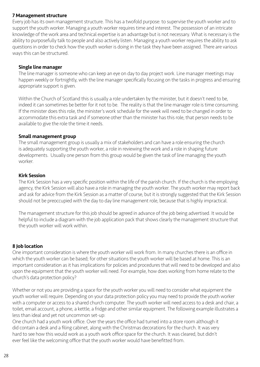#### 7 Management structure

Every job has its own management structure. This has a twofold purpose: to supervise the youth worker and to support the youth worker. Managing a youth worker requires time and interest. The possession of an intricate knowledge of the work area and technical expertise is an advantage but is not necessary. What is necessary is the ability to purposefully talk to people and also actively listen. Managing a youth worker requires the ability to ask questions in order to check how the youth worker is doing in the task they have been assigned. There are various ways this can be structured.

#### Single line manager

The line manager is someone who can keep an eye on day to day project work. Line manager meetings may happen weekly or fortnightly, with the line manager specifically focusing on the tasks in progress and ensuring appropriate support is given.

Within the Church of Scotland this is usually a role undertaken by the minister, but it doesn't need to be, indeed it can sometimes be better for it not to be. The reality is that the line manager role is time consuming. If the minister does this role, the minister's work schedule for the week will need to be changed in order to accommodate this extra task and if someone other than the minister has this role, that person needs to be available to give the role the time it needs.

#### Small management group

The small management group is usually a mix of stakeholders and can have a role ensuring the church is adequately supporting the youth worker, a role in reviewing the work and a role in shaping future developments. Usually one person from this group would be given the task of line managing the youth worker.

#### Kirk Session

The Kirk Session has a very specific position within the life of the parish church. If the church is the employing agency, the Kirk Session will also have a role in managing the youth worker. The youth worker may report back and ask for advice from the Kirk Session as a matter of course, but it is strongly suggested that the Kirk Session should not be preoccupied with the day to day line management role, because that is highly impractical.

The management structure for this job should be agreed in advance of the job being advertised. It would be helpful to include a diagram with the job application pack that shows clearly the management structure that the youth worker will work within.

#### 8 Job location

One important consideration is where the youth worker will work from. In many churches there is an office in which the youth worker can be based; for other situations the youth worker will be based at home. This is an important consideration as it has implications for policies and procedures that will need to be developed and also upon the equipment that the youth worker will need. For example, how does working from home relate to the church's data protection policy?

Whether or not you are providing a space for the youth worker you will need to consider what equipment the youth worker will require. Depending on your data protection policy you may need to provide the youth worker with a computer or access to a shared church computer. The youth worker will need access to a desk and chair, a toilet, email account, a phone, a kettle, a fridge and other similar equipment. The following example illustrates a less than ideal and yet not uncommon set-up:

One church had a youth work office. Over the years the office had turned into a store room although it did contain a desk and a filing cabinet, along with the Christmas decorations for the church. It was very hard to see how this would work as a youth work office space for the church. It was cleared, but didn't ever feel like the welcoming office that the youth worker would have benefitted from.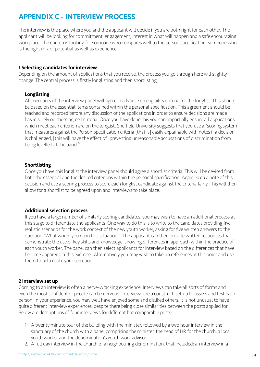# <span id="page-28-0"></span>APPENDIX C - INTERVIEW PROCESS

The interview is the place where you and the applicant will decide if you are both right for each other. The applicant will be looking for commitment, engagement, interest in what will happen and a safe encouraging workplace. The church is looking for someone who compares well to the person specification, someone who is the right mix of potential as well as experience.

#### 1 Selecting candidates for interview

Depending on the amount of applications that you receive, the process you go through here will slightly change. The central process is firstly longlisting and then shortlisting.

#### Longlisting

All members of the interview panel will agree in advance on eligibility criteria for the longlist. This should be based on the essential items contained within the personal specification. This agreement should be reached and recorded before any discussion of the applications in order to ensure decisions are made based solely on these agreed criteria. Once you have done this you can impartially ensure all applications which meet each criterion are on the longlist. Sheffield University suggests that you use a "scoring system that measures against the Person Specification criteria [that is] easily explainable with notes if a decision is challenged, [this will have the effect of] preventing unreasonable accusations of discrimination from being levelled at the panel<sup>7</sup>".

### Shortlisting

Once you have this longlist the interview panel should agree a shortlist criteria. This will be devised from both the essential and the desired criterions within the personal specification. Again, keep a note of this decision and use a scoring process to score each longlist candidate against the criteria fairly. This will then allow for a shortlist to be agreed upon and interviews to take place.

#### Additional selection process

If you have a large number of similarly scoring candidates, you may wish to have an additional process at this stage to differentiate the applicants. One way to do this is to write to the candidates providing five realistic scenarios for the work context of the new youth worker, asking for five written answers to the question "What would you do in this situation?" The applicant can then provide written responses that demonstrate the use of key skills and knowledge, showing differences in approach within the practice of each youth worker. The panel can then select applicants for interview based on the differences that have become apparent in this exercise. Alternatively you may wish to take up references at this point and use them to help make your selection.

#### 2 Interview set up

Coming to an interview is often a nerve-wracking experience. Interviews can take all sorts of forms and even the most confident of people can be nervous. Interviews are a construct, set up to assess and test each person. In your experience, you may well have enjoyed some and disliked others. It is not unusual to have quite different interview experiences, despite there being close similarities between the posts applied for. Below are descriptions of four interviews for different but comparable posts:

- 1. A twenty minute tour of the building with the minister, followed by a two hour interview in the sanctuary of the church with a panel comprising the minister, the head of HR for the church, a local youth worker and the denomination's youth work advisor.
- 2. A full day interview in the church of a neighbouring denomination, that included: an interview in a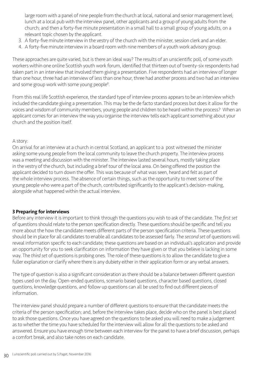large room with a panel of nine people from the church at local, national and senior management level; lunch at a local pub with the interview panel, other applicants and a group of young adults from the church; and then a forty-five minute presentation in a small hall to a small group of young adults, on a relevant topic chosen by the applicant.

- 3. A forty-five minute interview in the vestry of the church with the minister, session clerk and an elder.
- 4. A forty-five minute interview in a board room with nine members of a youth work advisory group.

These approaches are quite varied, but is there an ideal way? The results of an unscientific poll, of some youth workers within one online Scottish youth work forum, identified that thirteen out of twenty-six respondents had taken part in an interview that involved them giving a presentation. Five respondents had an interview of longer than one hour, three had an interview of less than one hour, three had another process and two had an interview and some group work with some young people<sup>8</sup>.

From this real life Scottish experience, the standard type of interview process appears to be an interview which included the candidate giving a presentation. This may be the de facto standard process but does it allow for the voices and wisdom of community members, young people and children to be heard within the process? When an applicant comes for an interview the way you organise the interview tells each applicant something about your church and the position itself.

#### A story:

On arrival for an interview at a church in central Scotland, an applicant to a post witnessed the minister asking some young people from the local community to leave the church property. The interview process was a meeting and discussion with the minister. The interview lasted several hours, mostly taking place in the vestry of the church, but including a brief tour of the local area. On being offered the position the applicant decided to turn down the offer. This was because of what was seen, heard and felt as part of the whole interview process. The absence of certain things, such as the opportunity to meet some of the young people who were a part of the church, contributed significantly to the applicant's decision-making, alongside what happened within the actual interview.

#### 3 Preparing for interviews

Before any interview it is important to think through the questions you wish to ask of the candidate. The *first set* of questions should relate to the person specification directly. These questions should be specific and tell you more about the how the candidate meets different parts of the person specification criteria. These questions should be in place for all candidates to enable all candidates to be assessed fairly. The *second set* of questions will reveal information specific to each candidate; these questions are based on an individual's application and provide an opportunity for you to seek clarification on information they have given or that you believe is lacking in some way. The *third set* of questions is probing ones. The role of these questions is to allow the candidate to give a fuller explanation or clarify where there is any dubiety either in their application form or any verbal answers.

The type of question is also a significant consideration as there should be a balance between different question types used on the day. Open-ended questions, scenario based questions, character based questions, closed questions, knowledge questions, and follow up questions can all be used to find out different pieces of information.

The interview panel should prepare a number of different questions to ensure that the candidate meets the criteria of the person specification; and, before the interview takes place, decide who on the panel is best placed to ask those questions. Once you have agreed on the questions to be asked you will need to make a judgement as to whether the time you have scheduled for the interview will allow for all the questions to be asked and answered. Ensure you have enough time between each interview for the panel to have a brief discussion, perhaps a comfort break, and also take notes on each candidate.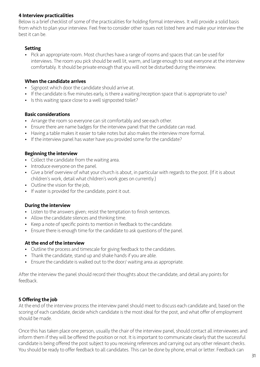#### 4 Interview practicalities

Below is a brief checklist of some of the practicalities for holding formal interviews. It will provide a solid basis from which to plan your interview. Feel free to consider other issues not listed here and make your interview the best it can be.

#### Setting

• Pick an appropriate room. Most churches have a range of rooms and spaces that can be used for interviews. The room you pick should be well lit, warm, and large enough to seat everyone at the interview comfortably. It should be private enough that you will not be disturbed during the interview.

#### When the candidate arrives

- Signpost which door the candidate should arrive at.
- If the candidate is five minutes early, is there a waiting/reception space that is appropriate to use?
- Is this waiting space close to a well signposted toilet?

### Basic considerations

- Arrange the room so everyone can sit comfortably and see each other.
- Ensure there are name badges for the interview panel that the candidate can read.
- Having a table makes it easier to take notes but also makes the interview more formal.
- If the interview panel has water have you provided some for the candidate?

### Beginning the interview

- Collect the candidate from the waiting area.
- Introduce everyone on the panel.
- Give a brief overview of what your church is about, in particular with regards to the post. (If it is about children's work, detail what children's work goes on currently.)
- Outline the vision for the job,
- If water is provided for the candidate, point it out.

#### During the interview

- Listen to the answers given; resist the temptation to finish sentences.
- Allow the candidate silences and thinking time.
- Keep a note of specific points to mention in feedback to the candidate.
- Ensure there is enough time for the candidate to ask questions of the panel.

#### At the end of the interview

- Outline the process and timescale for giving feedback to the candidates.
- Thank the candidate, stand up and shake hands if you are able.
- Ensure the candidate is walked out to the door/ waiting area as appropriate.

After the interview the panel should record their thoughts about the candidate, and detail any points for feedback.

# 5 Offering the job

At the end of the interview process the interview panel should meet to discuss each candidate and, based on the scoring of each candidate, decide which candidate is the most ideal for the post, and what offer of employment should be made.

Once this has taken place one person, usually the chair of the interview panel, should contact all interviewees and inform them if they will be offered the position or not. It is important to communicate clearly that the successful candidate is being offered the post subject to you receiving references and carrying out any other relevant checks. You should be ready to offer feedback to all candidates. This can be done by phone, email or letter. Feedback can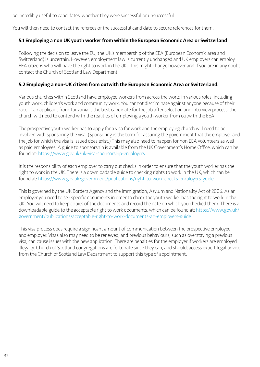be incredibly useful to candidates, whether they were successful or unsuccessful.

You will then need to contact the referees of the successful candidate to secure references for them.

## 5.1 Employing a non UK youth worker from within the European Economic Area or Switzerland

Following the decision to leave the EU, the UK's membership of the EEA (European Economic area and Switzerland) is uncertain. However, employment law is currently unchanged and UK employers can employ EEA citizens who will have the right to work in the UK. This might change however and if you are in any doubt contact the Church of Scotland Law Department.

## 5.2 Employing a non-UK citizen from outwith the European Economic Area or Switzerland.

Various churches within Scotland have employed workers from across the world in various roles, including youth work, children's work and community work. You cannot discriminate against anyone because of their race. If an applicant from Tanzania is the best candidate for the job after selection and interview process, the church will need to contend with the realities of employing a youth worker from outwith the EEA.

The prospective youth worker has to apply for a visa for work and the employing church will need to be involved with sponsoring the visa. (Sponsoring is the term for assuring the government that the employer and the job for which the visa is issued does exist.) This may also need to happen for non EEA volunteers as well as paid employees. A guide to sponsorship is available from the UK Government's Home Office, which can be found at:<https://www.gov.uk/uk-visa-sponsorship-employers>

It is the responsibility of each employer to carry out checks in order to ensure that the youth worker has the right to work in the UK. There is a downloadable guide to checking rights to work in the UK, which can be found at:<https://www.gov.uk/government/publications/right-to-work-checks-employers-guide>

This is governed by the UK Borders Agency and the Immigration, Asylum and Nationality Act of 2006. As an employer you need to see specific documents in order to check the youth worker has the right to work in the UK. You will need to keep copies of the documents and record the date on which you checked them. There is a downloadable guide to the acceptable right to work documents, which can be found at: [https://www.gov.uk/](https://www.gov.uk/government/publications/acceptable-right-to-work-documents-an-employers-guide) [government/publications/acceptable-right-to-work-documents-an-employers-guide](https://www.gov.uk/government/publications/acceptable-right-to-work-documents-an-employers-guide)

This visa process does require a significant amount of communication between the prospective employee and employer. Visas also may need to be renewed, and previous behaviours, such as overstaying a previous visa, can cause issues with the new application. There are penalties for the employer if workers are employed illegally. Church of Scotland congregations are fortunate since they can, and should, access expert legal advice from the Church of Scotland Law Department to support this type of appointment.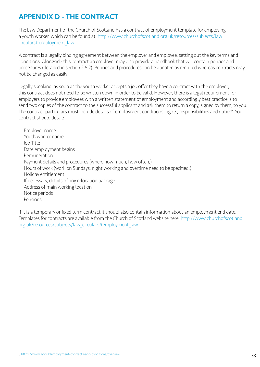# <span id="page-32-0"></span>APPENDIX D - THE CONTRACT

The Law Department of the Church of Scotland has a contract of employment template for employing a youth worker, which can be found at: [http://www.churchofscotland.org.uk/resources/subjects/law\\_](http://www.churchofscotland.org.uk/resources/subjects/law_circulars#employment_law) [circulars#employment\\_law](http://www.churchofscotland.org.uk/resources/subjects/law_circulars#employment_law)

A contract is a legally binding agreement between the employer and employee, setting out the key terms and conditions. Alongside this contract an employer may also provide a handbook that will contain policies and procedures (detailed in section 2.6.2). Policies and procedures can be updated as required whereas contracts may not be changed as easily.

Legally speaking, as soon as the youth worker accepts a job offer they have a contract with the employer; this contract does not need to be written down in order to be valid. However, there is a legal requirement for employers to provide employees with a written statement of employment and accordingly best practice is to send two copies of the contract to the successful applicant and ask them to return a copy, signed by them, to you. The contract particulars must include details of employment conditions, rights, responsibilities and duties<sup>9</sup>. Your contract should detail:

Employer name Youth worker name Job Title Date employment begins Remuneration Payment details and procedures (when, how much, how often,) Hours of work (work on Sundays, night working and overtime need to be specified.) Holiday entitlement If necessary, details of any relocation package Address of main working location Notice periods Pensions

If it is a temporary or fixed term contract it should also contain information about an employment end date. Templates for contracts are available from the Church of Scotland website here: [http://www.churchofscotland.](http://www.churchofscotland.org.uk/resources/subjects/law_circulars#employment_law) [org.uk/resources/subjects/law\\_circulars#employment\\_law.](http://www.churchofscotland.org.uk/resources/subjects/law_circulars#employment_law)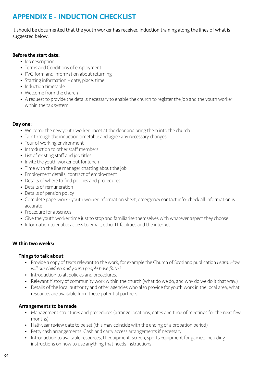# <span id="page-33-0"></span>APPENDIX E - INDUCTION CHECKLIST

It should be documented that the youth worker has received induction training along the lines of what is suggested below.

#### Before the start date:

- Job description
- Terms and Conditions of employment
- PVG form and information about returning
- Starting information date, place, time
- Induction timetable
- Welcome from the church
- A request to provide the details necessary to enable the church to register the job and the youth worker within the tax system

### Day one:

- Welcome the new youth worker; meet at the door and bring them into the church
- Talk through the induction timetable and agree any necessary changes
- Tour of working environment
- Introduction to other staff members
- List of existing staff and job titles
- Invite the youth worker out for lunch
- Time with the line manager chatting about the job
- Employment details, contract of employment
- Details of where to find policies and procedures
- Details of remuneration
- Details of pension policy
- Complete paperwork youth worker information sheet, emergency contact info; check all information is accurate
- Procedure for absences
- Give the youth worker time just to stop and familiarise themselves with whatever aspect they choose
- Information to enable access to email, other IT facilities and the internet

#### Within two weeks:

#### Things to talk about

- Provide a copy of texts relevant to the work, for example the Church of Scotland publication *Learn: How will our children and young people have faith?*
- Introduction to all policies and procedures.
- Relevant history of community work within the church (what do we do, and why do we do it that way.)
- Details of the local authority and other agencies who also provide for youth work in the local area; what resources are available from these potential partners

# Arrangements to be made

- Management structures and procedures (arrange locations, dates and time of meetings for the next few months)
- Half-year review date to be set (this may coincide with the ending of a probation period)
- Petty cash arrangements. Cash and carry access arrangements if necessary
- Introduction to available resources, IT equipment, screen, sports equipment for games; including instructions on how to use anything that needs instructions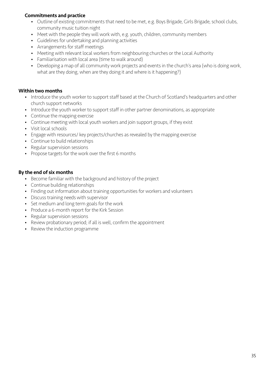#### Commitments and practice

- Outline of existing commitments that need to be met, e.g. Boys Brigade, Girls Brigade, school clubs, community music tuition night
- Meet with the people they will work with, e.g. youth, children, community members
- Guidelines for undertaking and planning activities
- Arrangements for staff meetings
- Meeting with relevant local workers from neighbouring churches or the Local Authority
- Familiarisation with local area (time to walk around)
- Developing a map of all community work projects and events in the church's area (who is doing work, what are they doing, when are they doing it and where is it happening?)

#### Within two months

- Introduce the youth worker to support staff based at the Church of Scotland's headquarters and other church support networks
- Introduce the youth worker to support staff in other partner denominations, as appropriate
- Continue the mapping exercise
- Continue meeting with local youth workers and join support groups, if they exist
- Visit local schools
- Engage with resources/ key projects/churches as revealed by the mapping exercise
- Continue to build relationships
- Regular supervision sessions
- Propose targets for the work over the first 6 months

#### By the end of six months

- Become familiar with the background and history of the project
- Continue building relationships
- Finding out information about training opportunities for workers and volunteers
- Discuss training needs with supervisor
- Set medium and long term goals for the work
- Produce a 6-month report for the Kirk Session
- Regular supervision sessions
- Review probationary period; if all is well, confirm the appointment
- Review the induction programme